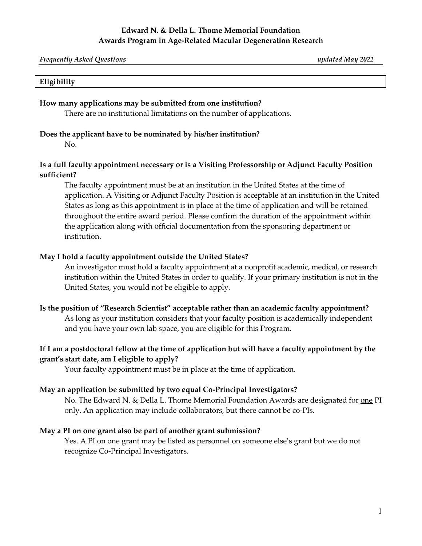### **Edward N. & Della L. Thome Memorial Foundation Awards Program in Age-Related Macular Degeneration Research**

| <b>Frequently Asked Questions</b> | updated May 2022 |
|-----------------------------------|------------------|
|                                   |                  |

#### **Eligibility**

#### **How many applications may be submitted from one institution?**

There are no institutional limitations on the number of applications.

#### **Does the applicant have to be nominated by his/her institution?**

No.

### **Is a full faculty appointment necessary or is a Visiting Professorship or Adjunct Faculty Position sufficient?**

The faculty appointment must be at an institution in the United States at the time of application. A Visiting or Adjunct Faculty Position is acceptable at an institution in the United States as long as this appointment is in place at the time of application and will be retained throughout the entire award period. Please confirm the duration of the appointment within the application along with official documentation from the sponsoring department or institution.

#### **May I hold a faculty appointment outside the United States?**

An investigator must hold a faculty appointment at a nonprofit academic, medical, or research institution within the United States in order to qualify. If your primary institution is not in the United States, you would not be eligible to apply.

#### **Is the position of "Research Scientist" acceptable rather than an academic faculty appointment?**

As long as your institution considers that your faculty position is academically independent and you have your own lab space, you are eligible for this Program.

## **If I am a postdoctoral fellow at the time of application but will have a faculty appointment by the grant's start date, am I eligible to apply?**

Your faculty appointment must be in place at the time of application.

#### **May an application be submitted by two equal Co-Principal Investigators?**

No. The Edward N. & Della L. Thome Memorial Foundation Awards are designated for <u>one</u> PI only. An application may include collaborators, but there cannot be co-PIs.

#### **May a PI on one grant also be part of another grant submission?**

Yes. A PI on one grant may be listed as personnel on someone else's grant but we do not recognize Co-Principal Investigators.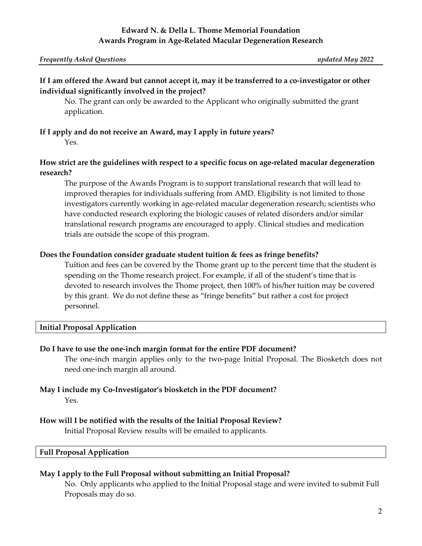# **If I am offered the Award but cannot accept it, may it be transferred to a co-investigator or other individual significantly involved in the project?**

No. The grant can only be awarded to the Applicant who originally submitted the grant application.

# **If I apply and do not receive an Award, may I apply in future years?**

Yes.

### **How strict are the guidelines with respect to a specific focus on age-related macular degeneration research?**

The purpose of the Awards Program is to support translational research that will lead to improved therapies for individuals suffering from AMD. Eligibility is not limited to those investigators currently working in age-related macular degeneration research; scientists who have conducted research exploring the biologic causes of related disorders and/or similar translational research programs are encouraged to apply. Clinical studies and medication trials are outside the scope of this program.

## **Does the Foundation consider graduate student tuition & fees as fringe benefits?**

Tuition and fees can be covered by the Thome grant up to the percent time that the student is spending on the Thome research project. For example, if all of the student's time that is devoted to research involves the Thome project, then 100% of his/her tuition may be covered by this grant. We do not define these as "fringe benefits" but rather a cost for project personnel.

## **Initial Proposal Application**

## **Do I have to use the one-inch margin format for the entire PDF document?**

The one-inch margin applies only to the two-page Initial Proposal. The Biosketch does not need one-inch margin all around.

#### **May I include my Co-Investigator's biosketch in the PDF document?** Yes.

#### **How will I be notified with the results of the Initial Proposal Review?**

Initial Proposal Review results will be emailed to applicants.

### **Full Proposal Application**

#### **May I apply to the Full Proposal without submitting an Initial Proposal?**

No. Only applicants who applied to the Initial Proposal stage and were invited to submit Full Proposals may do so.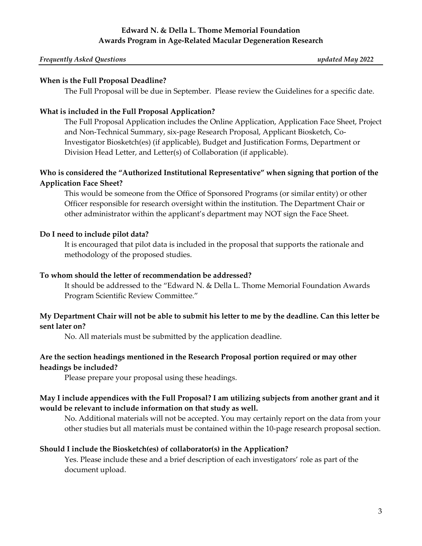## **Edward N. & Della L. Thome Memorial Foundation Awards Program in Age-Related Macular Degeneration Research**

#### *Frequently Asked Questions updated May 2022*

#### **When is the Full Proposal Deadline?**

The Full Proposal will be due in September. Please review the Guidelines for a specific date.

### **What is included in the Full Proposal Application?**

The Full Proposal Application includes the Online Application, Application Face Sheet, Project and Non-Technical Summary, six-page Research Proposal, Applicant Biosketch, Co-Investigator Biosketch(es) (if applicable), Budget and Justification Forms, Department or Division Head Letter, and Letter(s) of Collaboration (if applicable).

## **Who is considered the "Authorized Institutional Representative" when signing that portion of the Application Face Sheet?**

This would be someone from the Office of Sponsored Programs (or similar entity) or other Officer responsible for research oversight within the institution. The Department Chair or other administrator within the applicant's department may NOT sign the Face Sheet.

### **Do I need to include pilot data?**

It is encouraged that pilot data is included in the proposal that supports the rationale and methodology of the proposed studies.

### **To whom should the letter of recommendation be addressed?**

It should be addressed to the "Edward N. & Della L. Thome Memorial Foundation Awards Program Scientific Review Committee."

## **My Department Chair will not be able to submit his letter to me by the deadline. Can this letter be sent later on?**

No. All materials must be submitted by the application deadline.

### **Are the section headings mentioned in the Research Proposal portion required or may other headings be included?**

Please prepare your proposal using these headings.

## **May I include appendices with the Full Proposal? I am utilizing subjects from another grant and it would be relevant to include information on that study as well.**

No. Additional materials will not be accepted. You may certainly report on the data from your other studies but all materials must be contained within the 10-page research proposal section.

#### **Should I include the Biosketch(es) of collaborator(s) in the Application?**

Yes. Please include these and a brief description of each investigators' role as part of the document upload.